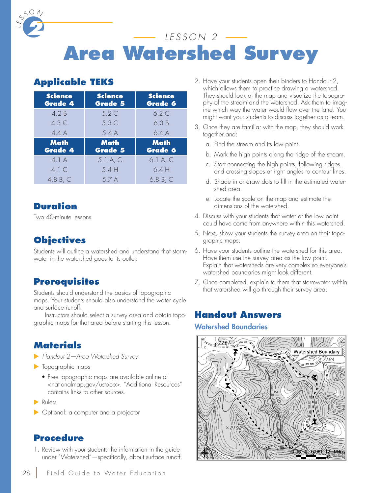# *LESSON 2* **Area Watershed Survey**

# **Applicable TEKS**

 $\overline{\phantom{0}}$  $\leq$  $\varsigma$  $\subset$   $\circ$ 

| <b>Science</b><br><b>Grade 4</b> | <b>Science</b><br><b>Grade 5</b> | <b>Science</b><br><b>Grade 6</b> |
|----------------------------------|----------------------------------|----------------------------------|
| 4.2 B                            | 5.2C                             | 6.2C                             |
| 4.3C                             | 5.3C                             | 6.3B                             |
| 4.4A                             | 5.4A                             | 6.4A                             |
| <b>Math</b>                      | <b>Math</b>                      | <b>Math</b>                      |
| <b>Grade 4</b>                   | <b>Grade 5</b>                   | <b>Grade 6</b>                   |
| 4.1A                             | $5.1A$ , C                       | 6.1A, C                          |
| 4.1C                             | 5.4H                             | 6.4H                             |

## **Duration**

Two 40-minute lessons

# **Objectives**

Students will outline a watershed and understand that stormwater in the watershed goes to its outlet.

# **Prerequisites**

Students should understand the basics of topographic maps. Your students should also understand the water cycle and surface runoff.

Instructors should select a survey area and obtain topographic maps for that area before starting this lesson.

## **Materials**

- X *Handout 2—Area Watershed Survey*
- $\blacktriangleright$  Topographic maps
	- **•** Free topographic maps are available online at <nationalmap.gov/ustopo>. "Additional Resources" contains links to other sources.
- $\blacktriangleright$  Rulers
- ▶ Optional: a computer and a projector

### **Procedure**

1. Review with your students the information in the guide under "Watershed"—specifically, about surface runoff.

- 2. Have your students open their binders to Handout 2, which allows them to practice drawing a watershed. They should look at the map and visualize the topography of the stream and the watershed. Ask them to imagine which way the water would flow over the land. You might want your students to discuss together as a team.
- 3. Once they are familiar with the map, they should work together and:
	- a. Find the stream and its low point.
	- b. Mark the high points along the ridge of the stream.
	- c. Start connecting the high points, following ridges, and crossing slopes at right angles to contour lines.
	- d. Shade in or draw dots to fill in the estimated watershed area.
	- e. Locate the scale on the map and estimate the dimensions of the watershed.
- 4. Discuss with your students that water at the low point could have come from anywhere within this watershed.
- 5. Next, show your students the survey area on their topographic maps.
- 6. Have your students outline the watershed for this area. Have them use the survey area as the low point. Explain that watersheds are very complex so everyone's watershed boundaries might look different.
- 7. Once completed, explain to them that stormwater within that watershed will go through their survey area.

## **Handout Answers**

#### Watershed Boundaries